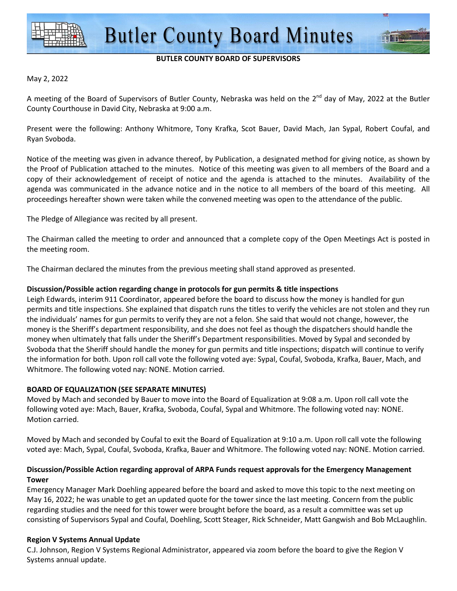

## **BUTLER COUNTY BOARD OF SUPERVISORS**

#### May 2, 2022

A meeting of the Board of Supervisors of Butler County, Nebraska was held on the  $2^{nd}$  day of May, 2022 at the Butler County Courthouse in David City, Nebraska at 9:00 a.m.

Present were the following: Anthony Whitmore, Tony Krafka, Scot Bauer, David Mach, Jan Sypal, Robert Coufal, and Ryan Svoboda.

Notice of the meeting was given in advance thereof, by Publication, a designated method for giving notice, as shown by the Proof of Publication attached to the minutes. Notice of this meeting was given to all members of the Board and a copy of their acknowledgement of receipt of notice and the agenda is attached to the minutes. Availability of the agenda was communicated in the advance notice and in the notice to all members of the board of this meeting. All proceedings hereafter shown were taken while the convened meeting was open to the attendance of the public.

The Pledge of Allegiance was recited by all present.

The Chairman called the meeting to order and announced that a complete copy of the Open Meetings Act is posted in the meeting room.

The Chairman declared the minutes from the previous meeting shall stand approved as presented.

## **Discussion/Possible action regarding change in protocols for gun permits & title inspections**

Leigh Edwards, interim 911 Coordinator, appeared before the board to discuss how the money is handled for gun permits and title inspections. She explained that dispatch runs the titles to verify the vehicles are not stolen and they run the individuals' names for gun permits to verify they are not a felon. She said that would not change, however, the money is the Sheriff's department responsibility, and she does not feel as though the dispatchers should handle the money when ultimately that falls under the Sheriff's Department responsibilities. Moved by Sypal and seconded by Svoboda that the Sheriff should handle the money for gun permits and title inspections; dispatch will continue to verify the information for both. Upon roll call vote the following voted aye: Sypal, Coufal, Svoboda, Krafka, Bauer, Mach, and Whitmore. The following voted nay: NONE. Motion carried.

## **BOARD OF EQUALIZATION (SEE SEPARATE MINUTES)**

Moved by Mach and seconded by Bauer to move into the Board of Equalization at 9:08 a.m. Upon roll call vote the following voted aye: Mach, Bauer, Krafka, Svoboda, Coufal, Sypal and Whitmore. The following voted nay: NONE. Motion carried.

Moved by Mach and seconded by Coufal to exit the Board of Equalization at 9:10 a.m. Upon roll call vote the following voted aye: Mach, Sypal, Coufal, Svoboda, Krafka, Bauer and Whitmore. The following voted nay: NONE. Motion carried.

# **Discussion/Possible Action regarding approval of ARPA Funds request approvals for the Emergency Management Tower**

Emergency Manager Mark Doehling appeared before the board and asked to move this topic to the next meeting on May 16, 2022; he was unable to get an updated quote for the tower since the last meeting. Concern from the public regarding studies and the need for this tower were brought before the board, as a result a committee was set up consisting of Supervisors Sypal and Coufal, Doehling, Scott Steager, Rick Schneider, Matt Gangwish and Bob McLaughlin.

## **Region V Systems Annual Update**

C.J. Johnson, Region V Systems Regional Administrator, appeared via zoom before the board to give the Region V Systems annual update.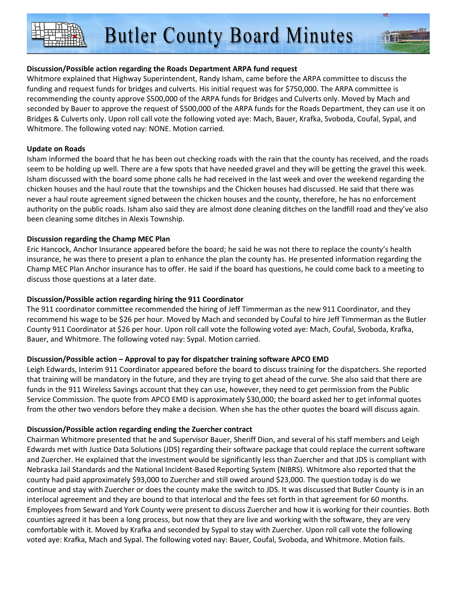**Butler County Board Minutes** 

## **Discussion/Possible action regarding the Roads Department ARPA fund request**

Whitmore explained that Highway Superintendent, Randy Isham, came before the ARPA committee to discuss the funding and request funds for bridges and culverts. His initial request was for \$750,000. The ARPA committee is recommending the county approve \$500,000 of the ARPA funds for Bridges and Culverts only. Moved by Mach and seconded by Bauer to approve the request of \$500,000 of the ARPA funds for the Roads Department, they can use it on Bridges & Culverts only. Upon roll call vote the following voted aye: Mach, Bauer, Krafka, Svoboda, Coufal, Sypal, and Whitmore. The following voted nay: NONE. Motion carried.

## **Update on Roads**

Isham informed the board that he has been out checking roads with the rain that the county has received, and the roads seem to be holding up well. There are a few spots that have needed gravel and they will be getting the gravel this week. Isham discussed with the board some phone calls he had received in the last week and over the weekend regarding the chicken houses and the haul route that the townships and the Chicken houses had discussed. He said that there was never a haul route agreement signed between the chicken houses and the county, therefore, he has no enforcement authority on the public roads. Isham also said they are almost done cleaning ditches on the landfill road and they've also been cleaning some ditches in Alexis Township.

## **Discussion regarding the Champ MEC Plan**

Eric Hancock, Anchor Insurance appeared before the board; he said he was not there to replace the county's health insurance, he was there to present a plan to enhance the plan the county has. He presented information regarding the Champ MEC Plan Anchor insurance has to offer. He said if the board has questions, he could come back to a meeting to discuss those questions at a later date.

## **Discussion/Possible action regarding hiring the 911 Coordinator**

The 911 coordinator committee recommended the hiring of Jeff Timmerman as the new 911 Coordinator, and they recommend his wage to be \$26 per hour. Moved by Mach and seconded by Coufal to hire Jeff Timmerman as the Butler County 911 Coordinator at \$26 per hour. Upon roll call vote the following voted aye: Mach, Coufal, Svoboda, Krafka, Bauer, and Whitmore. The following voted nay: Sypal. Motion carried.

# **Discussion/Possible action – Approval to pay for dispatcher training software APCO EMD**

Leigh Edwards, Interim 911 Coordinator appeared before the board to discuss training for the dispatchers. She reported that training will be mandatory in the future, and they are trying to get ahead of the curve. She also said that there are funds in the 911 Wireless Savings account that they can use, however, they need to get permission from the Public Service Commission. The quote from APCO EMD is approximately \$30,000; the board asked her to get informal quotes from the other two vendors before they make a decision. When she has the other quotes the board will discuss again.

# **Discussion/Possible action regarding ending the Zuercher contract**

Chairman Whitmore presented that he and Supervisor Bauer, Sheriff Dion, and several of his staff members and Leigh Edwards met with Justice Data Solutions (JDS) regarding their software package that could replace the current software and Zuercher. He explained that the investment would be significantly less than Zuercher and that JDS is compliant with Nebraska Jail Standards and the National Incident-Based Reporting System (NIBRS). Whitmore also reported that the county had paid approximately \$93,000 to Zuercher and still owed around \$23,000. The question today is do we continue and stay with Zuercher or does the county make the switch to JDS. It was discussed that Butler County is in an interlocal agreement and they are bound to that interlocal and the fees set forth in that agreement for 60 months. Employees from Seward and York County were present to discuss Zuercher and how it is working for their counties. Both counties agreed it has been a long process, but now that they are live and working with the software, they are very comfortable with it. Moved by Krafka and seconded by Sypal to stay with Zuercher. Upon roll call vote the following voted aye: Krafka, Mach and Sypal. The following voted nay: Bauer, Coufal, Svoboda, and Whitmore. Motion fails.